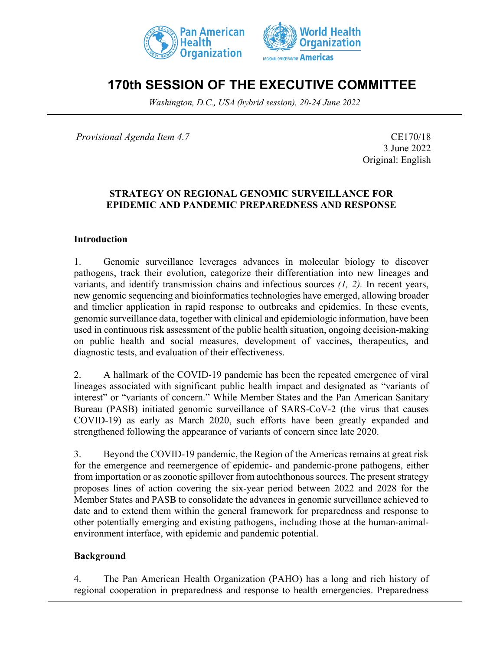



# **170th SESSION OF THE EXECUTIVE COMMITTEE**

*Washington, D.C., USA (hybrid session), 20-24 June 2022*

*Provisional Agenda Item 4.7* CE170/18

3 June 2022 Original: English

### **STRATEGY ON REGIONAL GENOMIC SURVEILLANCE FOR EPIDEMIC AND PANDEMIC PREPAREDNESS AND RESPONSE**

### **Introduction**

1. Genomic surveillance leverages advances in molecular biology to discover pathogens, track their evolution, categorize their differentiation into new lineages and variants, and identify transmission chains and infectious sources *(1, 2).* In recent years, new genomic sequencing and bioinformatics technologies have emerged, allowing broader and timelier application in rapid response to outbreaks and epidemics. In these events, genomic surveillance data, together with clinical and epidemiologic information, have been used in continuous risk assessment of the public health situation, ongoing decision-making on public health and social measures, development of vaccines, therapeutics, and diagnostic tests, and evaluation of their effectiveness.

2. A hallmark of the COVID-19 pandemic has been the repeated emergence of viral lineages associated with significant public health impact and designated as "variants of interest" or "variants of concern." While Member States and the Pan American Sanitary Bureau (PASB) initiated genomic surveillance of SARS-CoV-2 (the virus that causes COVID-19) as early as March 2020, such efforts have been greatly expanded and strengthened following the appearance of variants of concern since late 2020.

3. Beyond the COVID-19 pandemic, the Region of the Americas remains at great risk for the emergence and reemergence of epidemic- and pandemic-prone pathogens, either from importation or as zoonotic spillover from autochthonous sources. The present strategy proposes lines of action covering the six-year period between 2022 and 2028 for the Member States and PASB to consolidate the advances in genomic surveillance achieved to date and to extend them within the general framework for preparedness and response to other potentially emerging and existing pathogens, including those at the human-animalenvironment interface, with epidemic and pandemic potential.

### **Background**

4. The Pan American Health Organization (PAHO) has a long and rich history of regional cooperation in preparedness and response to health emergencies. Preparedness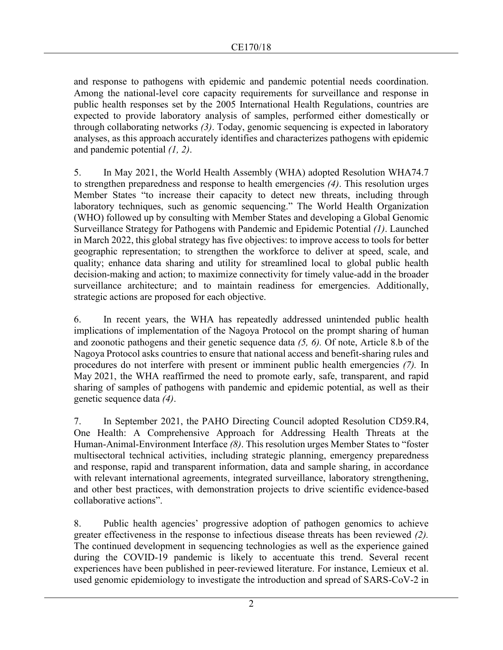and response to pathogens with epidemic and pandemic potential needs coordination. Among the national-level core capacity requirements for surveillance and response in public health responses set by the 2005 International Health Regulations, countries are expected to provide laboratory analysis of samples, performed either domestically or through collaborating networks *(3)*. Today, genomic sequencing is expected in laboratory analyses, as this approach accurately identifies and characterizes pathogens with epidemic and pandemic potential *(1, 2)*.

5. In May 2021, the World Health Assembly (WHA) adopted Resolution WHA74.7 to strengthen preparedness and response to health emergencies *(4)*. This resolution urges Member States "to increase their capacity to detect new threats, including through laboratory techniques, such as genomic sequencing." The World Health Organization (WHO) followed up by consulting with Member States and developing a Global Genomic Surveillance Strategy for Pathogens with Pandemic and Epidemic Potential *(1)*. Launched in March 2022, this global strategy has five objectives: to improve access to tools for better geographic representation; to strengthen the workforce to deliver at speed, scale, and quality; enhance data sharing and utility for streamlined local to global public health decision-making and action; to maximize connectivity for timely value-add in the broader surveillance architecture; and to maintain readiness for emergencies. Additionally, strategic actions are proposed for each objective.

6. In recent years, the WHA has repeatedly addressed unintended public health implications of implementation of the Nagoya Protocol on the prompt sharing of human and zoonotic pathogens and their genetic sequence data *(5, 6).* Of note, Article 8.b of the Nagoya Protocol asks countries to ensure that national access and benefit-sharing rules and procedures do not interfere with present or imminent public health emergencies *(7).* In May 2021, the WHA reaffirmed the need to promote early, safe, transparent, and rapid sharing of samples of pathogens with pandemic and epidemic potential, as well as their genetic sequence data *(4)*.

7. In September 2021, the PAHO Directing Council adopted Resolution CD59.R4, One Health: A Comprehensive Approach for Addressing Health Threats at the Human-Animal-Environment Interface *(8)*. This resolution urges Member States to "foster multisectoral technical activities, including strategic planning, emergency preparedness and response, rapid and transparent information, data and sample sharing, in accordance with relevant international agreements, integrated surveillance, laboratory strengthening, and other best practices, with demonstration projects to drive scientific evidence-based collaborative actions".

8. Public health agencies' progressive adoption of pathogen genomics to achieve greater effectiveness in the response to infectious disease threats has been reviewed *(2).* The continued development in sequencing technologies as well as the experience gained during the COVID-19 pandemic is likely to accentuate this trend. Several recent experiences have been published in peer-reviewed literature. For instance, Lemieux et al. used genomic epidemiology to investigate the introduction and spread of SARS-CoV-2 in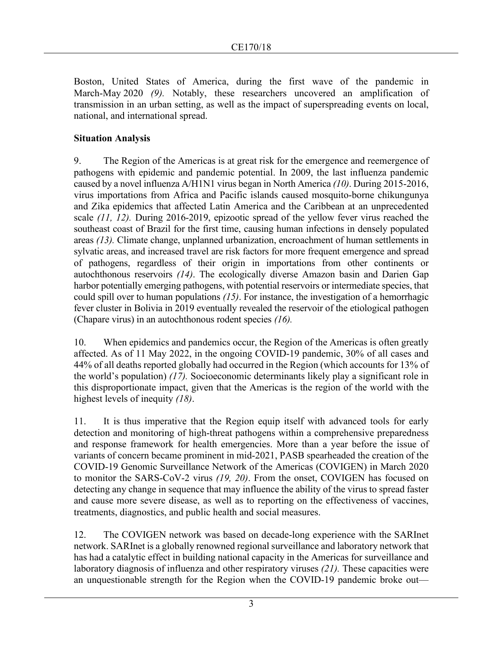Boston, United States of America, during the first wave of the pandemic in March-May 2020 *(9).* Notably, these researchers uncovered an amplification of transmission in an urban setting, as well as the impact of superspreading events on local, national, and international spread.

### **Situation Analysis**

9. The Region of the Americas is at great risk for the emergence and reemergence of pathogens with epidemic and pandemic potential. In 2009, the last influenza pandemic caused by a novel influenza A/H1N1 virus began in North America *(10)*. During 2015-2016, virus importations from Africa and Pacific islands caused mosquito-borne chikungunya and Zika epidemics that affected Latin America and the Caribbean at an unprecedented scale *(11, 12).* During 2016-2019, epizootic spread of the yellow fever virus reached the southeast coast of Brazil for the first time, causing human infections in densely populated areas *(13).* Climate change, unplanned urbanization, encroachment of human settlements in sylvatic areas, and increased travel are risk factors for more frequent emergence and spread of pathogens, regardless of their origin in importations from other continents or autochthonous reservoirs *(14)*. The ecologically diverse Amazon basin and Darien Gap harbor potentially emerging pathogens, with potential reservoirs or intermediate species, that could spill over to human populations *(15)*. For instance, the investigation of a hemorrhagic fever cluster in Bolivia in 2019 eventually revealed the reservoir of the etiological pathogen (Chapare virus) in an autochthonous rodent species *(16).*

10. When epidemics and pandemics occur, the Region of the Americas is often greatly affected. As of 11 May 2022, in the ongoing COVID-19 pandemic, 30% of all cases and 44% of all deaths reported globally had occurred in the Region (which accounts for 13% of the world's population) *(17).* Socioeconomic determinants likely play a significant role in this disproportionate impact, given that the Americas is the region of the world with the highest levels of inequity *(18)*.

11. It is thus imperative that the Region equip itself with advanced tools for early detection and monitoring of high-threat pathogens within a comprehensive preparedness and response framework for health emergencies. More than a year before the issue of variants of concern became prominent in mid-2021, PASB spearheaded the creation of the COVID-19 Genomic Surveillance Network of the Americas (COVIGEN) in March 2020 to monitor the SARS-CoV-2 virus *(19, 20)*. From the onset, COVIGEN has focused on detecting any change in sequence that may influence the ability of the virus to spread faster and cause more severe disease, as well as to reporting on the effectiveness of vaccines, treatments, diagnostics, and public health and social measures.

12. The COVIGEN network was based on decade-long experience with the SARInet network. SARInet is a globally renowned regional surveillance and laboratory network that has had a catalytic effect in building national capacity in the Americas for surveillance and laboratory diagnosis of influenza and other respiratory viruses *(21).* These capacities were an unquestionable strength for the Region when the COVID-19 pandemic broke out—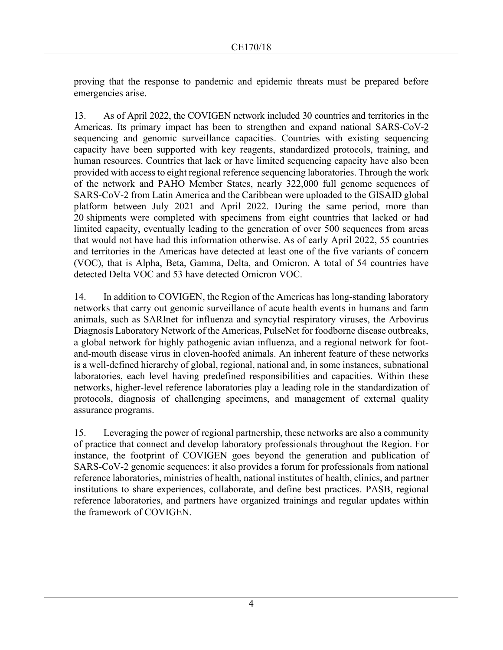proving that the response to pandemic and epidemic threats must be prepared before emergencies arise.

13. As of April 2022, the COVIGEN network included 30 countries and territories in the Americas. Its primary impact has been to strengthen and expand national SARS-CoV-2 sequencing and genomic surveillance capacities. Countries with existing sequencing capacity have been supported with key reagents, standardized protocols, training, and human resources. Countries that lack or have limited sequencing capacity have also been provided with access to eight regional reference sequencing laboratories. Through the work of the network and PAHO Member States, nearly 322,000 full genome sequences of SARS-CoV-2 from Latin America and the Caribbean were uploaded to the GISAID global platform between July 2021 and April 2022. During the same period, more than 20 shipments were completed with specimens from eight countries that lacked or had limited capacity, eventually leading to the generation of over 500 sequences from areas that would not have had this information otherwise. As of early April 2022, 55 countries and territories in the Americas have detected at least one of the five variants of concern (VOC), that is Alpha, Beta, Gamma, Delta, and Omicron. A total of 54 countries have detected Delta VOC and 53 have detected Omicron VOC.

14. In addition to COVIGEN, the Region of the Americas has long-standing laboratory networks that carry out genomic surveillance of acute health events in humans and farm animals, such as SARInet for influenza and syncytial respiratory viruses, the Arbovirus Diagnosis Laboratory Network of the Americas, PulseNet for foodborne disease outbreaks, a global network for highly pathogenic avian influenza, and a regional network for footand-mouth disease virus in cloven-hoofed animals. An inherent feature of these networks is a well-defined hierarchy of global, regional, national and, in some instances, subnational laboratories, each level having predefined responsibilities and capacities. Within these networks, higher-level reference laboratories play a leading role in the standardization of protocols, diagnosis of challenging specimens, and management of external quality assurance programs.

15. Leveraging the power of regional partnership, these networks are also a community of practice that connect and develop laboratory professionals throughout the Region. For instance, the footprint of COVIGEN goes beyond the generation and publication of SARS-CoV-2 genomic sequences: it also provides a forum for professionals from national reference laboratories, ministries of health, national institutes of health, clinics, and partner institutions to share experiences, collaborate, and define best practices. PASB, regional reference laboratories, and partners have organized trainings and regular updates within the framework of COVIGEN.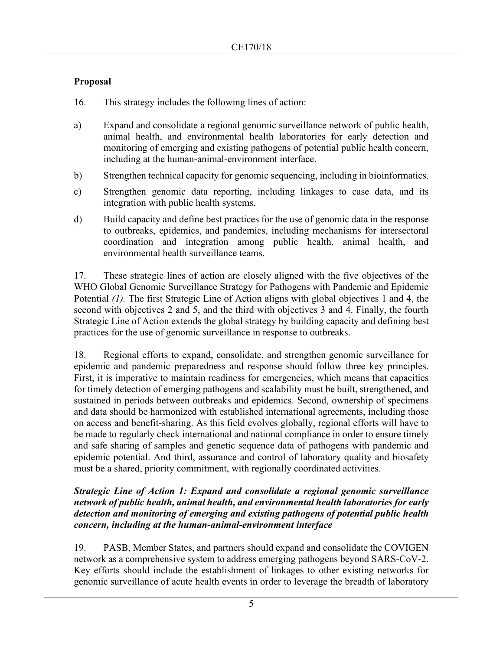## **Proposal**

16. This strategy includes the following lines of action:

- a) Expand and consolidate a regional genomic surveillance network of public health, animal health, and environmental health laboratories for early detection and monitoring of emerging and existing pathogens of potential public health concern, including at the human-animal-environment interface.
- b) Strengthen technical capacity for genomic sequencing, including in bioinformatics.
- c) Strengthen genomic data reporting, including linkages to case data, and its integration with public health systems.
- d) Build capacity and define best practices for the use of genomic data in the response to outbreaks, epidemics, and pandemics, including mechanisms for intersectoral coordination and integration among public health, animal health, and environmental health surveillance teams.

17. These strategic lines of action are closely aligned with the five objectives of the WHO Global Genomic Surveillance Strategy for Pathogens with Pandemic and Epidemic Potential *(1)*. The first Strategic Line of Action aligns with global objectives 1 and 4, the second with objectives 2 and 5, and the third with objectives 3 and 4. Finally, the fourth Strategic Line of Action extends the global strategy by building capacity and defining best practices for the use of genomic surveillance in response to outbreaks.

18. Regional efforts to expand, consolidate, and strengthen genomic surveillance for epidemic and pandemic preparedness and response should follow three key principles. First, it is imperative to maintain readiness for emergencies, which means that capacities for timely detection of emerging pathogens and scalability must be built, strengthened, and sustained in periods between outbreaks and epidemics. Second, ownership of specimens and data should be harmonized with established international agreements, including those on access and benefit-sharing. As this field evolves globally, regional efforts will have to be made to regularly check international and national compliance in order to ensure timely and safe sharing of samples and genetic sequence data of pathogens with pandemic and epidemic potential. And third, assurance and control of laboratory quality and biosafety must be a shared, priority commitment, with regionally coordinated activities.

### *Strategic Line of Action 1: Expand and consolidate a regional genomic surveillance network of public health, animal health, and environmental health laboratories for early detection and monitoring of emerging and existing pathogens of potential public health concern, including at the human-animal-environment interface*

19. PASB, Member States, and partners should expand and consolidate the COVIGEN network as a comprehensive system to address emerging pathogens beyond SARS-CoV-2. Key efforts should include the establishment of linkages to other existing networks for genomic surveillance of acute health events in order to leverage the breadth of laboratory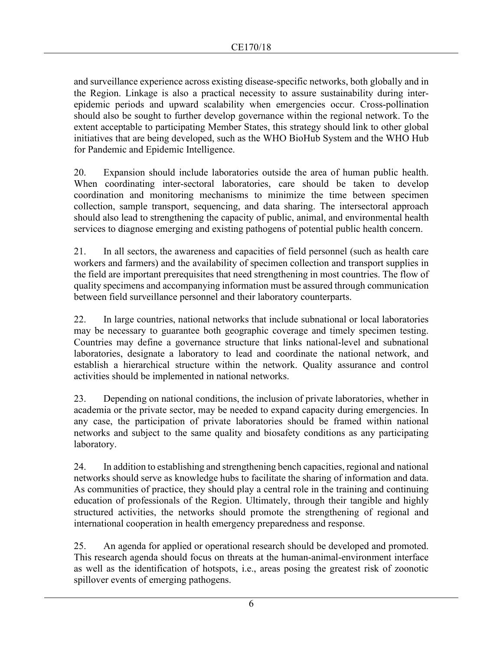and surveillance experience across existing disease-specific networks, both globally and in the Region. Linkage is also a practical necessity to assure sustainability during interepidemic periods and upward scalability when emergencies occur. Cross-pollination should also be sought to further develop governance within the regional network. To the extent acceptable to participating Member States, this strategy should link to other global initiatives that are being developed, such as the WHO BioHub System and the WHO Hub for Pandemic and Epidemic Intelligence.

20. Expansion should include laboratories outside the area of human public health. When coordinating inter-sectoral laboratories, care should be taken to develop coordination and monitoring mechanisms to minimize the time between specimen collection, sample transport, sequencing, and data sharing. The intersectoral approach should also lead to strengthening the capacity of public, animal, and environmental health services to diagnose emerging and existing pathogens of potential public health concern.

21. In all sectors, the awareness and capacities of field personnel (such as health care workers and farmers) and the availability of specimen collection and transport supplies in the field are important prerequisites that need strengthening in most countries. The flow of quality specimens and accompanying information must be assured through communication between field surveillance personnel and their laboratory counterparts.

22. In large countries, national networks that include subnational or local laboratories may be necessary to guarantee both geographic coverage and timely specimen testing. Countries may define a governance structure that links national-level and subnational laboratories, designate a laboratory to lead and coordinate the national network, and establish a hierarchical structure within the network. Quality assurance and control activities should be implemented in national networks.

23. Depending on national conditions, the inclusion of private laboratories, whether in academia or the private sector, may be needed to expand capacity during emergencies. In any case, the participation of private laboratories should be framed within national networks and subject to the same quality and biosafety conditions as any participating laboratory.

24. In addition to establishing and strengthening bench capacities, regional and national networks should serve as knowledge hubs to facilitate the sharing of information and data. As communities of practice, they should play a central role in the training and continuing education of professionals of the Region. Ultimately, through their tangible and highly structured activities, the networks should promote the strengthening of regional and international cooperation in health emergency preparedness and response.

25. An agenda for applied or operational research should be developed and promoted. This research agenda should focus on threats at the human-animal-environment interface as well as the identification of hotspots, i.e., areas posing the greatest risk of zoonotic spillover events of emerging pathogens.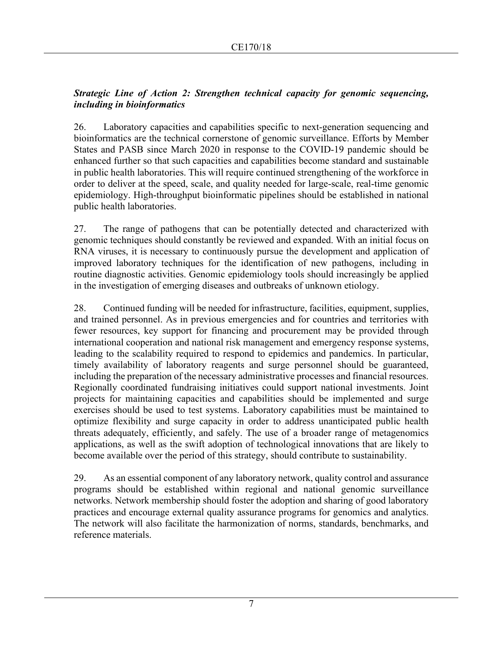### *Strategic Line of Action 2: Strengthen technical capacity for genomic sequencing, including in bioinformatics*

26. Laboratory capacities and capabilities specific to next-generation sequencing and bioinformatics are the technical cornerstone of genomic surveillance. Efforts by Member States and PASB since March 2020 in response to the COVID-19 pandemic should be enhanced further so that such capacities and capabilities become standard and sustainable in public health laboratories. This will require continued strengthening of the workforce in order to deliver at the speed, scale, and quality needed for large-scale, real-time genomic epidemiology. High-throughput bioinformatic pipelines should be established in national public health laboratories.

27. The range of pathogens that can be potentially detected and characterized with genomic techniques should constantly be reviewed and expanded. With an initial focus on RNA viruses, it is necessary to continuously pursue the development and application of improved laboratory techniques for the identification of new pathogens, including in routine diagnostic activities. Genomic epidemiology tools should increasingly be applied in the investigation of emerging diseases and outbreaks of unknown etiology.

28. Continued funding will be needed for infrastructure, facilities, equipment, supplies, and trained personnel. As in previous emergencies and for countries and territories with fewer resources, key support for financing and procurement may be provided through international cooperation and national risk management and emergency response systems, leading to the scalability required to respond to epidemics and pandemics. In particular, timely availability of laboratory reagents and surge personnel should be guaranteed, including the preparation of the necessary administrative processes and financial resources. Regionally coordinated fundraising initiatives could support national investments. Joint projects for maintaining capacities and capabilities should be implemented and surge exercises should be used to test systems. Laboratory capabilities must be maintained to optimize flexibility and surge capacity in order to address unanticipated public health threats adequately, efficiently, and safely. The use of a broader range of metagenomics applications, as well as the swift adoption of technological innovations that are likely to become available over the period of this strategy, should contribute to sustainability.

29. As an essential component of any laboratory network, quality control and assurance programs should be established within regional and national genomic surveillance networks. Network membership should foster the adoption and sharing of good laboratory practices and encourage external quality assurance programs for genomics and analytics. The network will also facilitate the harmonization of norms, standards, benchmarks, and reference materials.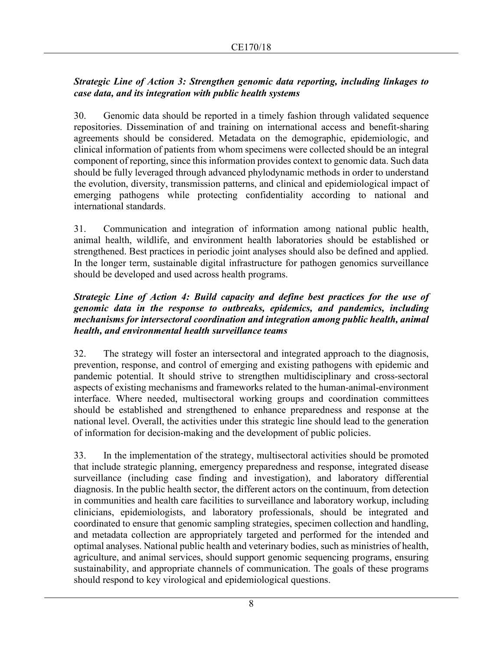### *Strategic Line of Action 3: Strengthen genomic data reporting, including linkages to case data, and its integration with public health systems*

30. Genomic data should be reported in a timely fashion through validated sequence repositories. Dissemination of and training on international access and benefit-sharing agreements should be considered. Metadata on the demographic, epidemiologic, and clinical information of patients from whom specimens were collected should be an integral component of reporting, since this information provides context to genomic data. Such data should be fully leveraged through advanced phylodynamic methods in order to understand the evolution, diversity, transmission patterns, and clinical and epidemiological impact of emerging pathogens while protecting confidentiality according to national and international standards.

31. Communication and integration of information among national public health, animal health, wildlife, and environment health laboratories should be established or strengthened. Best practices in periodic joint analyses should also be defined and applied. In the longer term, sustainable digital infrastructure for pathogen genomics surveillance should be developed and used across health programs.

### *Strategic Line of Action 4: Build capacity and define best practices for the use of genomic data in the response to outbreaks, epidemics, and pandemics, including mechanisms for intersectoral coordination and integration among public health, animal health, and environmental health surveillance teams*

32. The strategy will foster an intersectoral and integrated approach to the diagnosis, prevention, response, and control of emerging and existing pathogens with epidemic and pandemic potential. It should strive to strengthen multidisciplinary and cross-sectoral aspects of existing mechanisms and frameworks related to the human-animal-environment interface. Where needed, multisectoral working groups and coordination committees should be established and strengthened to enhance preparedness and response at the national level. Overall, the activities under this strategic line should lead to the generation of information for decision-making and the development of public policies.

33. In the implementation of the strategy, multisectoral activities should be promoted that include strategic planning, emergency preparedness and response, integrated disease surveillance (including case finding and investigation), and laboratory differential diagnosis. In the public health sector, the different actors on the continuum, from detection in communities and health care facilities to surveillance and laboratory workup, including clinicians, epidemiologists, and laboratory professionals, should be integrated and coordinated to ensure that genomic sampling strategies, specimen collection and handling, and metadata collection are appropriately targeted and performed for the intended and optimal analyses. National public health and veterinary bodies, such as ministries of health, agriculture, and animal services, should support genomic sequencing programs, ensuring sustainability, and appropriate channels of communication. The goals of these programs should respond to key virological and epidemiological questions.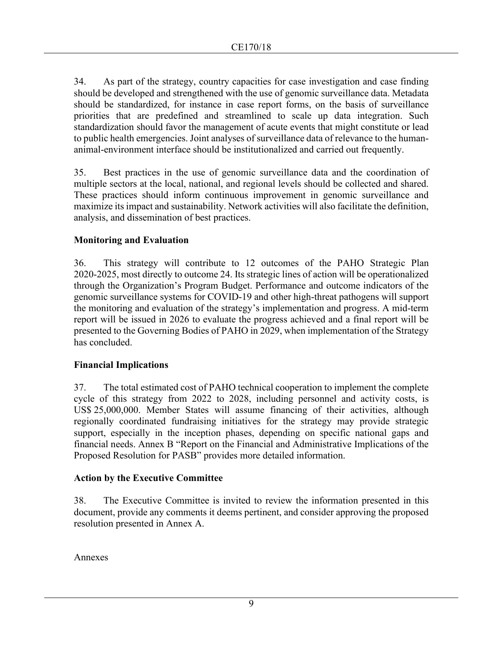34. As part of the strategy, country capacities for case investigation and case finding should be developed and strengthened with the use of genomic surveillance data. Metadata should be standardized, for instance in case report forms, on the basis of surveillance priorities that are predefined and streamlined to scale up data integration. Such standardization should favor the management of acute events that might constitute or lead to public health emergencies. Joint analyses of surveillance data of relevance to the humananimal-environment interface should be institutionalized and carried out frequently.

35. Best practices in the use of genomic surveillance data and the coordination of multiple sectors at the local, national, and regional levels should be collected and shared. These practices should inform continuous improvement in genomic surveillance and maximize its impact and sustainability. Network activities will also facilitate the definition, analysis, and dissemination of best practices.

### **Monitoring and Evaluation**

36. This strategy will contribute to 12 outcomes of the PAHO Strategic Plan 2020-2025, most directly to outcome 24. Its strategic lines of action will be operationalized through the Organization's Program Budget. Performance and outcome indicators of the genomic surveillance systems for COVID-19 and other high-threat pathogens will support the monitoring and evaluation of the strategy's implementation and progress. A mid-term report will be issued in 2026 to evaluate the progress achieved and a final report will be presented to the Governing Bodies of PAHO in 2029, when implementation of the Strategy has concluded.

### **Financial Implications**

37. The total estimated cost of PAHO technical cooperation to implement the complete cycle of this strategy from 2022 to 2028, including personnel and activity costs, is US\$ 25,000,000. Member States will assume financing of their activities, although regionally coordinated fundraising initiatives for the strategy may provide strategic support, especially in the inception phases, depending on specific national gaps and financial needs. Annex B "Report on the Financial and Administrative Implications of the Proposed Resolution for PASB" provides more detailed information.

### **Action by the Executive Committee**

38. The Executive Committee is invited to review the information presented in this document, provide any comments it deems pertinent, and consider approving the proposed resolution presented in Annex A.

Annexes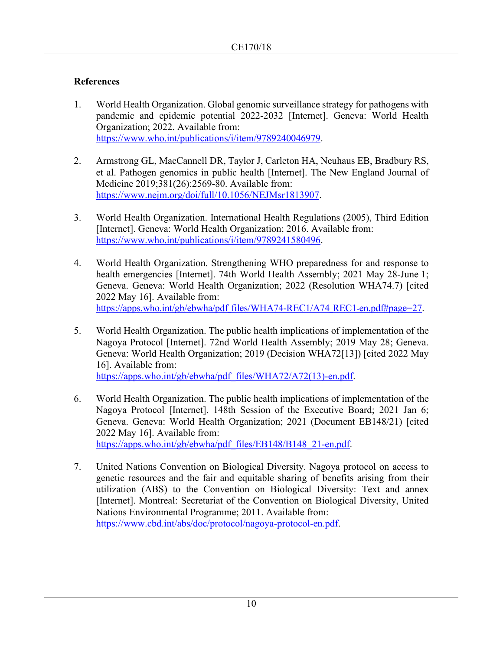## **References**

- 1. World Health Organization. Global genomic surveillance strategy for pathogens with pandemic and epidemic potential 2022-2032 [Internet]. Geneva: World Health Organization; 2022. Available from: [https://www.who.int/publications/i/item/9789240046979.](https://www.who.int/publications/i/item/9789240046979)
- 2. Armstrong GL, MacCannell DR, Taylor J, Carleton HA, Neuhaus EB, Bradbury RS, et al. Pathogen genomics in public health [Internet]. The New England Journal of Medicine 2019;381(26):2569-80. Available from: [https://www.nejm.org/doi/full/10.1056/NEJMsr1813907.](https://www.nejm.org/doi/full/10.1056/NEJMsr1813907)
- 3. World Health Organization. International Health Regulations (2005), Third Edition [Internet]. Geneva: World Health Organization; 2016. Available from: https://www.who.int/publications/i/item/9789241580496.
- 4. World Health Organization. Strengthening WHO preparedness for and response to health emergencies [Internet]. 74th World Health Assembly; 2021 May 28-June 1; Geneva. Geneva: World Health Organization; 2022 (Resolution WHA74.7) [cited 2022 May 16]. Available from: https://apps.who.int/gb/ebwha/pdf\_files/WHA74-REC1/A74\_REC1-en.pdf#page=27.
- 5. World Health Organization. The public health implications of implementation of the Nagoya Protocol [Internet]. 72nd World Health Assembly; 2019 May 28; Geneva. Geneva: World Health Organization; 2019 (Decision WHA72[13]) [cited 2022 May 16]. Available from:

https://apps.who.int/gb/ebwha/pdf\_files/WHA72/A72(13)-en.pdf.

- 6. World Health Organization. The public health implications of implementation of the Nagoya Protocol [Internet]. 148th Session of the Executive Board; 2021 Jan 6; Geneva. Geneva: World Health Organization; 2021 (Document EB148/21) [cited 2022 May 16]. Available from: https://apps.who.int/gb/ebwha/pdf\_files/EB148/B148\_21-en.pdf.
- 7. United Nations Convention on Biological Diversity. Nagoya protocol on access to genetic resources and the fair and equitable sharing of benefits arising from their utilization (ABS) to the Convention on Biological Diversity: Text and annex [Internet]. Montreal: Secretariat of the Convention on Biological Diversity, United Nations Environmental Programme; 2011. Available from: [https://www.cbd.int/abs/doc/protocol/nagoya-protocol-en.pdf.](https://www.cbd.int/abs/doc/protocol/nagoya-protocol-en.pdf)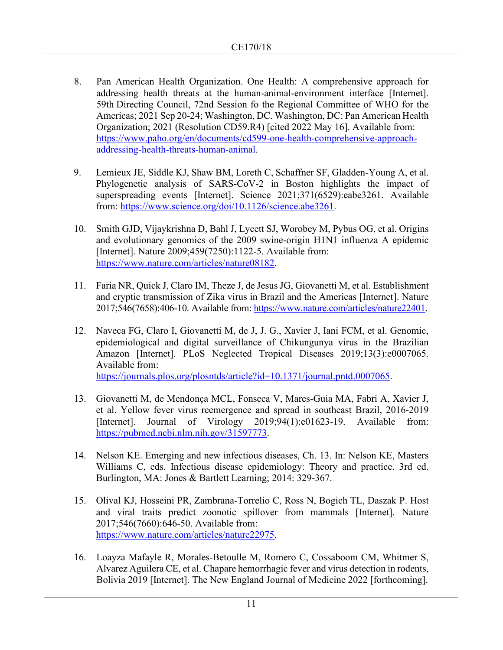- 8. Pan American Health Organization. One Health: A comprehensive approach for addressing health threats at the human-animal-environment interface [Internet]. 59th Directing Council, 72nd Session fo the Regional Committee of WHO for the Americas; 2021 Sep 20-24; Washington, DC. Washington, DC: Pan American Health Organization; 2021 (Resolution CD59.R4) [cited 2022 May 16]. Available from: https://www.paho.org/en/documents/cd599-one-health-comprehensive-approachaddressing-health-threats-human-animal.
- 9. Lemieux JE, Siddle KJ, Shaw BM, Loreth C, Schaffner SF, Gladden-Young A, et al. Phylogenetic analysis of SARS-CoV-2 in Boston highlights the impact of superspreading events [Internet]. Science 2021;371(6529):eabe3261. Available from: [https://www.science.org/doi/10.1126/science.abe3261.](https://www.science.org/doi/10.1126/science.abe3261)
- 10. Smith GJD, Vijaykrishna D, Bahl J, Lycett SJ, Worobey M, Pybus OG, et al. Origins and evolutionary genomics of the 2009 swine-origin H1N1 influenza A epidemic [Internet]. Nature 2009;459(7250):1122-5. Available from: [https://www.nature.com/articles/nature08182.](https://www.nature.com/articles/nature08182)
- 11. Faria NR, Quick J, Claro IM, Theze J, de Jesus JG, Giovanetti M, et al. Establishment and cryptic transmission of Zika virus in Brazil and the Americas [Internet]. Nature 2017;546(7658):406-10. Available from: https://www.nature.com/articles/nature22401.
- 12. Naveca FG, Claro I, Giovanetti M, de J, J. G., Xavier J, Iani FCM, et al. Genomic, epidemiological and digital surveillance of Chikungunya virus in the Brazilian Amazon [Internet]. PLoS Neglected Tropical Diseases 2019;13(3):e0007065. Available from: [https://journals.plos.org/plosntds/article?id=10.1371/journal.pntd.0007065.](https://journals.plos.org/plosntds/article?id=10.1371/journal.pntd.0007065)
- 13. Giovanetti M, de Mendonça MCL, Fonseca V, Mares-Guia MA, Fabri A, Xavier J, et al. Yellow fever virus reemergence and spread in southeast Brazil, 2016-2019 [Internet]. Journal of Virology 2019;94(1):e01623-19. Available from: https://pubmed.ncbi.nlm.nih.gov/31597773.
- 14. Nelson KE. Emerging and new infectious diseases, Ch. 13. In: Nelson KE, Masters Williams C, eds. Infectious disease epidemiology: Theory and practice. 3rd ed. Burlington, MA: Jones & Bartlett Learning; 2014: 329-367.
- 15. Olival KJ, Hosseini PR, Zambrana-Torrelio C, Ross N, Bogich TL, Daszak P. Host and viral traits predict zoonotic spillover from mammals [Internet]. Nature 2017;546(7660):646-50. Available from: [https://www.nature.com/articles/nature22975.](https://www.nature.com/articles/nature22975)
- 16. Loayza Mafayle R, Morales-Betoulle M, Romero C, Cossaboom CM, Whitmer S, Alvarez Aguilera CE, et al. Chapare hemorrhagic fever and virus detection in rodents, Bolivia 2019 [Internet]. The New England Journal of Medicine 2022 [forthcoming].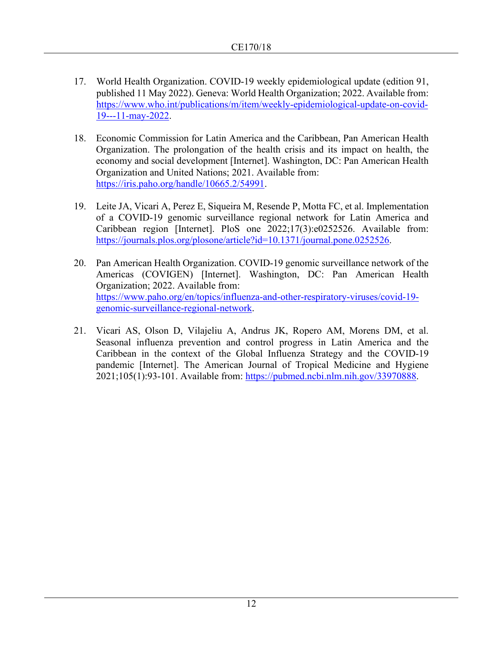- 17. World Health Organization. COVID-19 weekly epidemiological update (edition 91, published 11 May 2022). Geneva: World Health Organization; 2022. Available from: [https://www.who.int/publications/m/item/weekly-epidemiological-update-on-covid-](https://www.who.int/publications/m/item/weekly-epidemiological-update-on-covid-19---11-may-2022)[19---11-may-2022.](https://www.who.int/publications/m/item/weekly-epidemiological-update-on-covid-19---11-may-2022)
- 18. Economic Commission for Latin America and the Caribbean, Pan American Health Organization. The prolongation of the health crisis and its impact on health, the economy and social development [Internet]. Washington, DC: Pan American Health Organization and United Nations; 2021. Available from: [https://iris.paho.org/handle/10665.2/54991.](https://iris.paho.org/handle/10665.2/54991)
- 19. Leite JA, Vicari A, Perez E, Siqueira M, Resende P, Motta FC, et al. Implementation of a COVID-19 genomic surveillance regional network for Latin America and Caribbean region [Internet]. PloS one 2022;17(3):e0252526. Available from: [https://journals.plos.org/plosone/article?id=10.1371/journal.pone.0252526.](https://journals.plos.org/plosone/article?id=10.1371/journal.pone.0252526)
- 20. Pan American Health Organization. COVID-19 genomic surveillance network of the Americas (COVIGEN) [Internet]. Washington, DC: Pan American Health Organization; 2022. Available from: https://www.paho.org/en/topics/influenza-and-other-respiratory-viruses/covid-19 genomic-surveillance-regional-network.
- 21. Vicari AS, Olson D, Vilajeliu A, Andrus JK, Ropero AM, Morens DM, et al. Seasonal influenza prevention and control progress in Latin America and the Caribbean in the context of the Global Influenza Strategy and the COVID-19 pandemic [Internet]. The American Journal of Tropical Medicine and Hygiene 2021;105(1):93-101. Available from: [https://pubmed.ncbi.nlm.nih.gov/33970888.](https://pubmed.ncbi.nlm.nih.gov/33970888)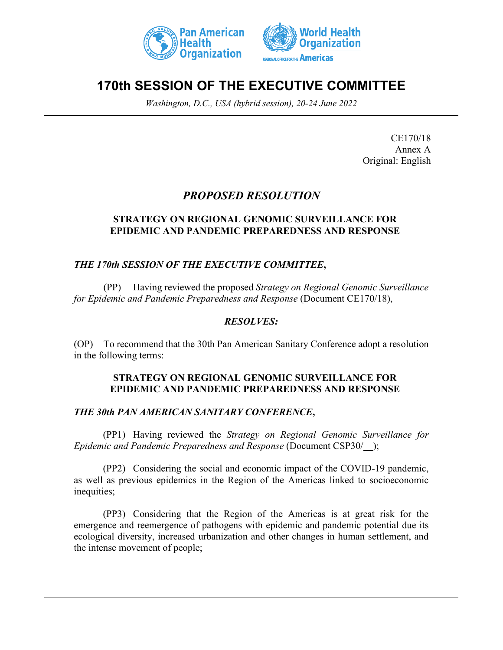



# **170th SESSION OF THE EXECUTIVE COMMITTEE**

*Washington, D.C., USA (hybrid session), 20-24 June 2022*

CE170/18 Annex A Original: English

## *PROPOSED RESOLUTION*

### **STRATEGY ON REGIONAL GENOMIC SURVEILLANCE FOR EPIDEMIC AND PANDEMIC PREPAREDNESS AND RESPONSE**

## *THE 170th SESSION OF THE EXECUTIVE COMMITTEE***,**

(PP) Having reviewed the proposed *Strategy on Regional Genomic Surveillance for Epidemic and Pandemic Preparedness and Response* (Document CE170/18),

## *RESOLVES:*

(OP) To recommend that the 30th Pan American Sanitary Conference adopt a resolution in the following terms:

### **STRATEGY ON REGIONAL GENOMIC SURVEILLANCE FOR EPIDEMIC AND PANDEMIC PREPAREDNESS AND RESPONSE**

### *THE 30th PAN AMERICAN SANITARY CONFERENCE***,**

(PP1) Having reviewed the *Strategy on Regional Genomic Surveillance for Epidemic and Pandemic Preparedness and Response* (Document CSP30/\_\_);

(PP2) Considering the social and economic impact of the COVID-19 pandemic, as well as previous epidemics in the Region of the Americas linked to socioeconomic inequities;

(PP3) Considering that the Region of the Americas is at great risk for the emergence and reemergence of pathogens with epidemic and pandemic potential due its ecological diversity, increased urbanization and other changes in human settlement, and the intense movement of people;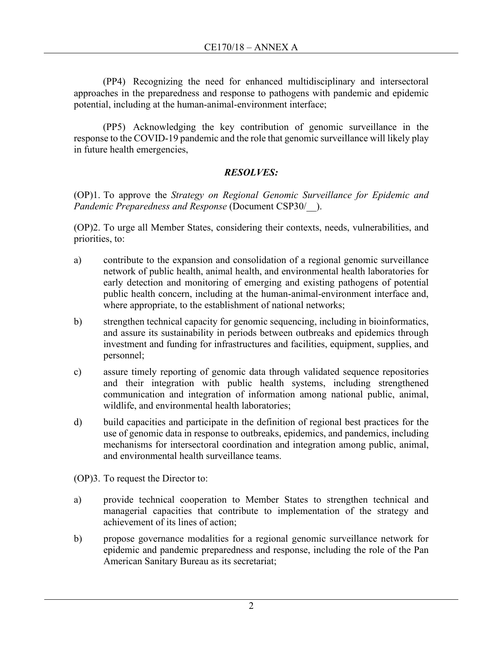(PP4) Recognizing the need for enhanced multidisciplinary and intersectoral approaches in the preparedness and response to pathogens with pandemic and epidemic potential, including at the human-animal-environment interface;

(PP5) Acknowledging the key contribution of genomic surveillance in the response to the COVID-19 pandemic and the role that genomic surveillance will likely play in future health emergencies,

## *RESOLVES:*

(OP)1. To approve the *Strategy on Regional Genomic Surveillance for Epidemic and Pandemic Preparedness and Response* (Document CSP30/\_\_).

(OP)2. To urge all Member States, considering their contexts, needs, vulnerabilities, and priorities, to:

- a) contribute to the expansion and consolidation of a regional genomic surveillance network of public health, animal health, and environmental health laboratories for early detection and monitoring of emerging and existing pathogens of potential public health concern, including at the human-animal-environment interface and, where appropriate, to the establishment of national networks;
- b) strengthen technical capacity for genomic sequencing, including in bioinformatics, and assure its sustainability in periods between outbreaks and epidemics through investment and funding for infrastructures and facilities, equipment, supplies, and personnel;
- c) assure timely reporting of genomic data through validated sequence repositories and their integration with public health systems, including strengthened communication and integration of information among national public, animal, wildlife, and environmental health laboratories;
- d) build capacities and participate in the definition of regional best practices for the use of genomic data in response to outbreaks, epidemics, and pandemics, including mechanisms for intersectoral coordination and integration among public, animal, and environmental health surveillance teams.
- (OP)3. To request the Director to:
- a) provide technical cooperation to Member States to strengthen technical and managerial capacities that contribute to implementation of the strategy and achievement of its lines of action;
- b) propose governance modalities for a regional genomic surveillance network for epidemic and pandemic preparedness and response, including the role of the Pan American Sanitary Bureau as its secretariat;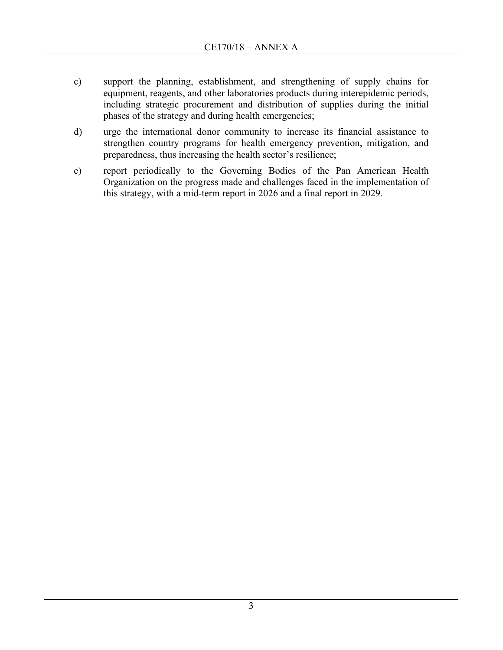- c) support the planning, establishment, and strengthening of supply chains for equipment, reagents, and other laboratories products during interepidemic periods, including strategic procurement and distribution of supplies during the initial phases of the strategy and during health emergencies;
- d) urge the international donor community to increase its financial assistance to strengthen country programs for health emergency prevention, mitigation, and preparedness, thus increasing the health sector's resilience;
- e) report periodically to the Governing Bodies of the Pan American Health Organization on the progress made and challenges faced in the implementation of this strategy, with a mid-term report in 2026 and a final report in 2029.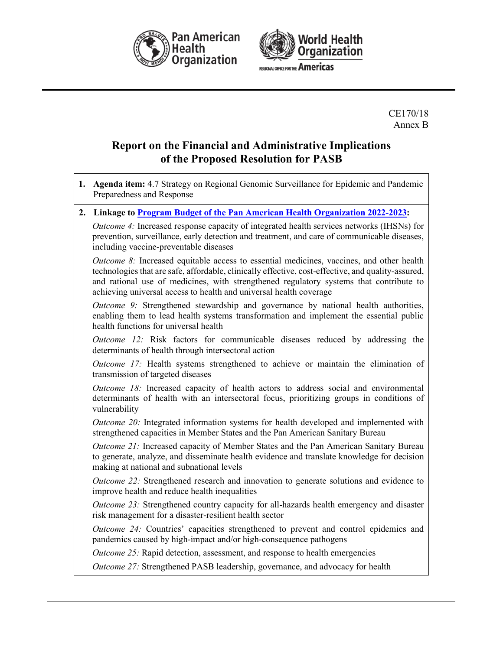



CE170/18 Annex B

## **Report on the Financial and Administrative Implications of the Proposed Resolution for PASB**

- **1. Agenda item:** 4.7 Strategy on Regional Genomic Surveillance for Epidemic and Pandemic Preparedness and Response
- **2. Linkage to [Program Budget of the Pan American Health Organization 2022-2023:](https://www.paho.org/en/documents/cd59od363-program-budget-pan-american-health-organization-2022-2023)**

*Outcome 4:* Increased response capacity of integrated health services networks (IHSNs) for prevention, surveillance, early detection and treatment, and care of communicable diseases, including vaccine-preventable diseases

*Outcome 8:* Increased equitable access to essential medicines, vaccines, and other health technologies that are safe, affordable, clinically effective, cost-effective, and quality-assured, and rational use of medicines, with strengthened regulatory systems that contribute to achieving universal access to health and universal health coverage

*Outcome 9:* Strengthened stewardship and governance by national health authorities, enabling them to lead health systems transformation and implement the essential public health functions for universal health

*Outcome 12:* Risk factors for communicable diseases reduced by addressing the determinants of health through intersectoral action

*Outcome 17:* Health systems strengthened to achieve or maintain the elimination of transmission of targeted diseases

*Outcome 18:* Increased capacity of health actors to address social and environmental determinants of health with an intersectoral focus, prioritizing groups in conditions of vulnerability

*Outcome 20:* Integrated information systems for health developed and implemented with strengthened capacities in Member States and the Pan American Sanitary Bureau

*Outcome 21:* Increased capacity of Member States and the Pan American Sanitary Bureau to generate, analyze, and disseminate health evidence and translate knowledge for decision making at national and subnational levels

*Outcome 22:* Strengthened research and innovation to generate solutions and evidence to improve health and reduce health inequalities

*Outcome 23:* Strengthened country capacity for all-hazards health emergency and disaster risk management for a disaster-resilient health sector

*Outcome 24:* Countries' capacities strengthened to prevent and control epidemics and pandemics caused by high-impact and/or high-consequence pathogens

*Outcome 25:* Rapid detection, assessment, and response to health emergencies

*Outcome 27:* Strengthened PASB leadership, governance, and advocacy for health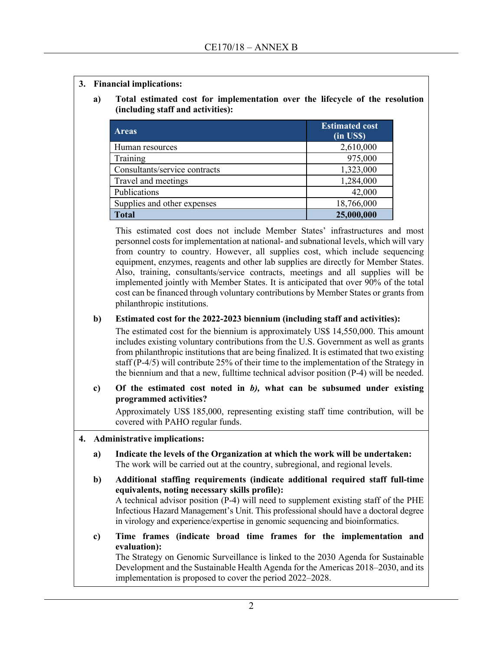- **3. Financial implications:**
	- **a) Total estimated cost for implementation over the lifecycle of the resolution (including staff and activities):**

| <b>Areas</b>                  | <b>Estimated cost</b><br>(in US\$) |
|-------------------------------|------------------------------------|
| Human resources               | 2,610,000                          |
| Training                      | 975,000                            |
| Consultants/service contracts | 1,323,000                          |
| Travel and meetings           | 1,284,000                          |
| Publications                  | 42,000                             |
| Supplies and other expenses   | 18,766,000                         |
| <b>Total</b>                  | 25,000,000                         |

This estimated cost does not include Member States' infrastructures and most personnel costs for implementation at national- and subnational levels, which will vary from country to country. However, all supplies cost, which include sequencing equipment, enzymes, reagents and other lab supplies are directly for Member States. Also, training, consultants/service contracts, meetings and all supplies will be implemented jointly with Member States. It is anticipated that over 90% of the total cost can be financed through voluntary contributions by Member States or grants from philanthropic institutions.

#### **b) Estimated cost for the 2022-2023 biennium (including staff and activities):**

The estimated cost for the biennium is approximately US\$ 14,550,000. This amount includes existing voluntary contributions from the U.S. Government as well as grants from philanthropic institutions that are being finalized. It is estimated that two existing staff (P-4/5) will contribute 25% of their time to the implementation of the Strategy in the biennium and that a new, fulltime technical advisor position (P-4) will be needed.

### **c) Of the estimated cost noted in** *b),* **what can be subsumed under existing programmed activities?**

Approximately US\$ 185,000, representing existing staff time contribution, will be covered with PAHO regular funds.

#### **4. Administrative implications:**

- **a) Indicate the levels of the Organization at which the work will be undertaken:** The work will be carried out at the country, subregional, and regional levels.
- **b) Additional staffing requirements (indicate additional required staff full-time equivalents, noting necessary skills profile):** A technical advisor position (P-4) will need to supplement existing staff of the PHE Infectious Hazard Management's Unit. This professional should have a doctoral degree in virology and experience/expertise in genomic sequencing and bioinformatics.
- **c) Time frames (indicate broad time frames for the implementation and evaluation):**

The Strategy on Genomic Surveillance is linked to the 2030 Agenda for Sustainable Development and the Sustainable Health Agenda for the Americas 2018–2030, and its implementation is proposed to cover the period 2022–2028.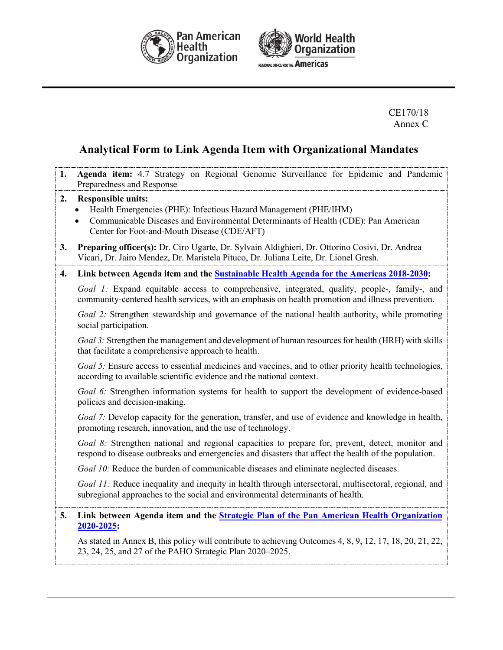



CE170/18 Annex C

### **Analytical Form to Link Agenda Item with Organizational Mandates**

**1. Agenda item:** 4.7 Strategy on Regional Genomic Surveillance for Epidemic and Pandemic Preparedness and Response **2. Responsible units:** • Health Emergencies (PHE): Infectious Hazard Management (PHE/IHM) • Communicable Diseases and Environmental Determinants of Health (CDE): Pan American Center for Foot-and-Mouth Disease (CDE/AFT) **3. Preparing officer(s):** Dr. Ciro Ugarte, Dr. Sylvain Aldighieri, Dr. Ottorino Cosivi, Dr. Andrea Vicari, Dr. Jairo Mendez, Dr. Maristela Pituco, Dr. Juliana Leite, Dr. Lionel Gresh. **4. Link between Agenda item and the [Sustainable Health Agenda for the Americas 2018-2030:](http://new.paho.org/hq/index.php?option=com_docman&task=doc_download&gid=41946&Itemid=270&lang=en)** *Goal 1:* Expand equitable access to comprehensive, integrated, quality, people-, family-, and community-centered health services, with an emphasis on health promotion and illness prevention. *Goal 2:* Strengthen stewardship and governance of the national health authority, while promoting social participation. *Goal 3:* Strengthen the management and development of human resources for health (HRH) with skills that facilitate a comprehensive approach to health. *Goal 5:* Ensure access to essential medicines and vaccines, and to other priority health technologies, according to available scientific evidence and the national context. *Goal 6:* Strengthen information systems for health to support the development of evidence-based policies and decision-making. *Goal 7:* Develop capacity for the generation, transfer, and use of evidence and knowledge in health, promoting research, innovation, and the use of technology. *Goal 8:* Strengthen national and regional capacities to prepare for, prevent, detect, monitor and respond to disease outbreaks and emergencies and disasters that affect the health of the population. *Goal 10:* Reduce the burden of communicable diseases and eliminate neglected diseases. *Goal 11:* Reduce inequality and inequity in health through intersectoral, multisectoral, regional, and subregional approaches to the social and environmental determinants of health. **5. Link between Agenda item and the [Strategic Plan of the Pan American Health Organization](https://www.paho.org/hq/index.php?option=com_docman&view=document&alias=50290-cd57-od359-e-strategic-plan-paho&category_slug=cd57-en&Itemid=270&lang=en)  [2020-2025:](https://www.paho.org/hq/index.php?option=com_docman&view=document&alias=50290-cd57-od359-e-strategic-plan-paho&category_slug=cd57-en&Itemid=270&lang=en)**  As stated in Annex B, this policy will contribute to achieving Outcomes 4, 8, 9, 12, 17, 18, 20, 21, 22, 23, 24, 25, and 27 of the PAHO Strategic Plan 2020–2025.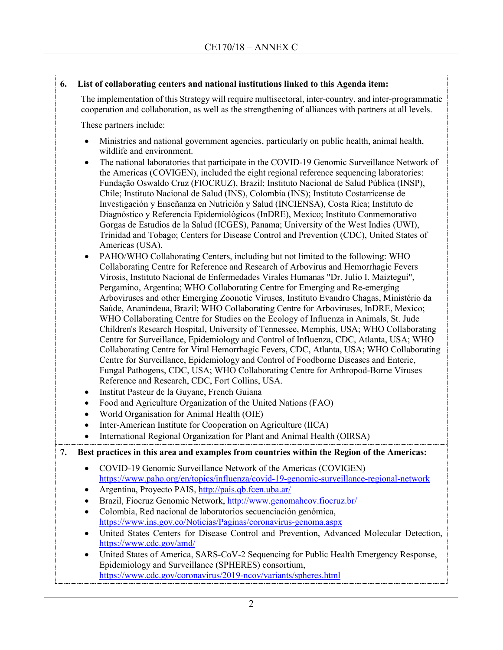### **6. List of collaborating centers and national institutions linked to this Agenda item:**

The implementation of this Strategy will require multisectoral, inter-country, and inter-programmatic cooperation and collaboration, as well as the strengthening of alliances with partners at all levels.

These partners include:

- Ministries and national government agencies, particularly on public health, animal health, wildlife and environment.
- The national laboratories that participate in the COVID-19 Genomic Surveillance Network of the Americas (COVIGEN), included the eight regional reference sequencing laboratories: Fundação Oswaldo Cruz (FIOCRUZ), Brazil; Instituto Nacional de Salud Pública (INSP), Chile; Instituto Nacional de Salud (INS), Colombia (INS); Instituto Costarricense de Investigación y Enseñanza en Nutrición y Salud (INCIENSA), Costa Rica; Instituto de Diagnóstico y Referencia Epidemiológicos (InDRE), Mexico; Instituto Conmemorativo Gorgas de Estudios de la Salud (ICGES), Panama; University of the West Indies (UWI), Trinidad and Tobago; Centers for Disease Control and Prevention (CDC), United States of Americas (USA).
- PAHO/WHO Collaborating Centers, including but not limited to the following: WHO Collaborating Centre for Reference and Research of Arbovirus and Hemorrhagic Fevers Virosis, Instituto Nacional de Enfermedades Virales Humanas "Dr. Julio I. Maiztegui", Pergamino, Argentina; WHO Collaborating Centre for Emerging and Re-emerging Arboviruses and other Emerging Zoonotic Viruses, Instituto Evandro Chagas, Ministério da Saúde, Ananindeua, Brazil; WHO Collaborating Centre for Arboviruses, InDRE, Mexico; WHO Collaborating Centre for Studies on the Ecology of Influenza in Animals, St. Jude Children's Research Hospital, University of Tennessee, Memphis, USA; WHO Collaborating Centre for Surveillance, Epidemiology and Control of Influenza, CDC, Atlanta, USA; WHO Collaborating Centre for Viral Hemorrhagic Fevers, CDC, Atlanta, USA; WHO Collaborating Centre for Surveillance, Epidemiology and Control of Foodborne Diseases and Enteric, Fungal Pathogens, CDC, USA; WHO Collaborating Centre for Arthropod-Borne Viruses Reference and Research, CDC, Fort Collins, USA.
- Institut Pasteur de la Guyane, French Guiana
- Food and Agriculture Organization of the United Nations (FAO)
- World Organisation for Animal Health (OIE)
- Inter-American Institute for Cooperation on Agriculture (IICA)
- International Regional Organization for Plant and Animal Health (OIRSA)

### **7. Best practices in this area and examples from countries within the Region of the Americas:**

- COVID-19 Genomic Surveillance Network of the Americas (COVIGEN) <https://www.paho.org/en/topics/influenza/covid-19-genomic-surveillance-regional-network>
- Argentina, Proyecto PAIS,<http://pais.qb.fcen.uba.ar/>
- Brazil, Fiocruz Genomic Network,<http://www.genomahcov.fiocruz.br/>
- Colombia, Red nacional de laboratorios secuenciación genómica, <https://www.ins.gov.co/Noticias/Paginas/coronavirus-genoma.aspx>
- United States Centers for Disease Control and Prevention, Advanced Molecular Detection, <https://www.cdc.gov/amd/>
- United States of America, SARS-CoV-2 Sequencing for Public Health Emergency Response, Epidemiology and Surveillance (SPHERES) consortium, <https://www.cdc.gov/coronavirus/2019-ncov/variants/spheres.html>